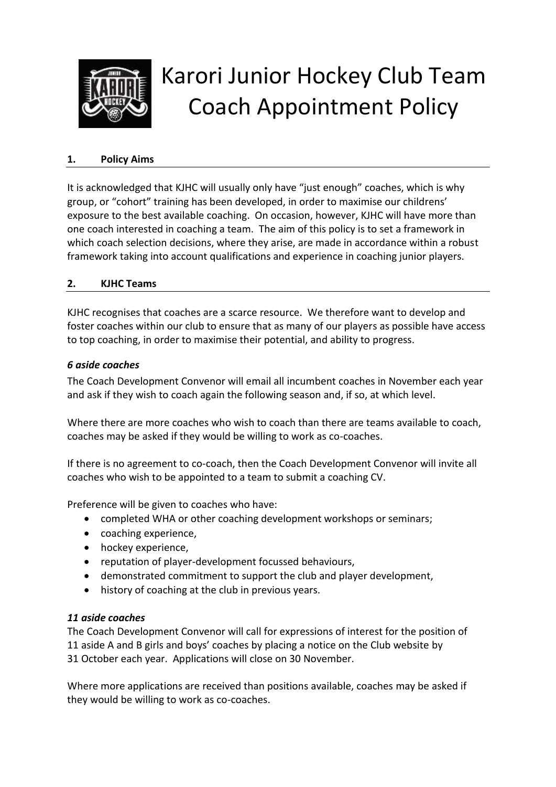

# Karori Junior Hockey Club Team Coach Appointment Policy

#### **1. Policy Aims**

It is acknowledged that KJHC will usually only have "just enough" coaches, which is why group, or "cohort" training has been developed, in order to maximise our childrens' exposure to the best available coaching. On occasion, however, KJHC will have more than one coach interested in coaching a team. The aim of this policy is to set a framework in which coach selection decisions, where they arise, are made in accordance within a robust framework taking into account qualifications and experience in coaching junior players.

#### **2. KJHC Teams**

KJHC recognises that coaches are a scarce resource. We therefore want to develop and foster coaches within our club to ensure that as many of our players as possible have access to top coaching, in order to maximise their potential, and ability to progress.

#### *6 aside coaches*

The Coach Development Convenor will email all incumbent coaches in November each year and ask if they wish to coach again the following season and, if so, at which level.

Where there are more coaches who wish to coach than there are teams available to coach, coaches may be asked if they would be willing to work as co-coaches.

If there is no agreement to co-coach, then the Coach Development Convenor will invite all coaches who wish to be appointed to a team to submit a coaching CV.

Preference will be given to coaches who have:

- completed WHA or other coaching development workshops or seminars;
- coaching experience,
- hockey experience.
- reputation of player-development focussed behaviours,
- demonstrated commitment to support the club and player development,
- history of coaching at the club in previous years.

#### *11 aside coaches*

The Coach Development Convenor will call for expressions of interest for the position of 11 aside A and B girls and boys' coaches by placing a notice on the Club website by 31 October each year. Applications will close on 30 November.

Where more applications are received than positions available, coaches may be asked if they would be willing to work as co-coaches.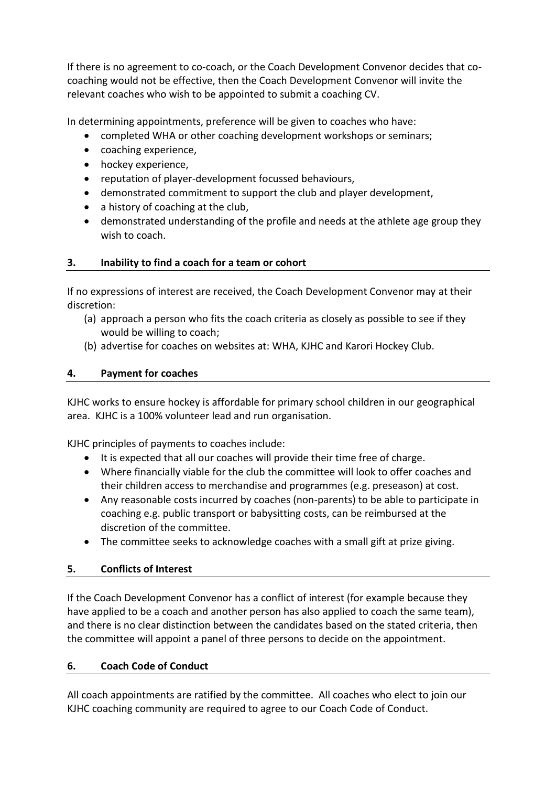If there is no agreement to co-coach, or the Coach Development Convenor decides that cocoaching would not be effective, then the Coach Development Convenor will invite the relevant coaches who wish to be appointed to submit a coaching CV.

In determining appointments, preference will be given to coaches who have:

- completed WHA or other coaching development workshops or seminars;
- coaching experience,
- hockey experience,
- reputation of player-development focussed behaviours,
- demonstrated commitment to support the club and player development,
- a history of coaching at the club,
- demonstrated understanding of the profile and needs at the athlete age group they wish to coach.

## **3. Inability to find a coach for a team or cohort**

If no expressions of interest are received, the Coach Development Convenor may at their discretion:

- (a) approach a person who fits the coach criteria as closely as possible to see if they would be willing to coach;
- (b) advertise for coaches on websites at: WHA, KJHC and Karori Hockey Club.

## **4. Payment for coaches**

KJHC works to ensure hockey is affordable for primary school children in our geographical area. KJHC is a 100% volunteer lead and run organisation.

KJHC principles of payments to coaches include:

- It is expected that all our coaches will provide their time free of charge.
- Where financially viable for the club the committee will look to offer coaches and their children access to merchandise and programmes (e.g. preseason) at cost.
- Any reasonable costs incurred by coaches (non-parents) to be able to participate in coaching e.g. public transport or babysitting costs, can be reimbursed at the discretion of the committee.
- The committee seeks to acknowledge coaches with a small gift at prize giving.

## **5. Conflicts of Interest**

If the Coach Development Convenor has a conflict of interest (for example because they have applied to be a coach and another person has also applied to coach the same team), and there is no clear distinction between the candidates based on the stated criteria, then the committee will appoint a panel of three persons to decide on the appointment.

## **6. Coach Code of Conduct**

All coach appointments are ratified by the committee. All coaches who elect to join our KJHC coaching community are required to agree to our Coach Code of Conduct.